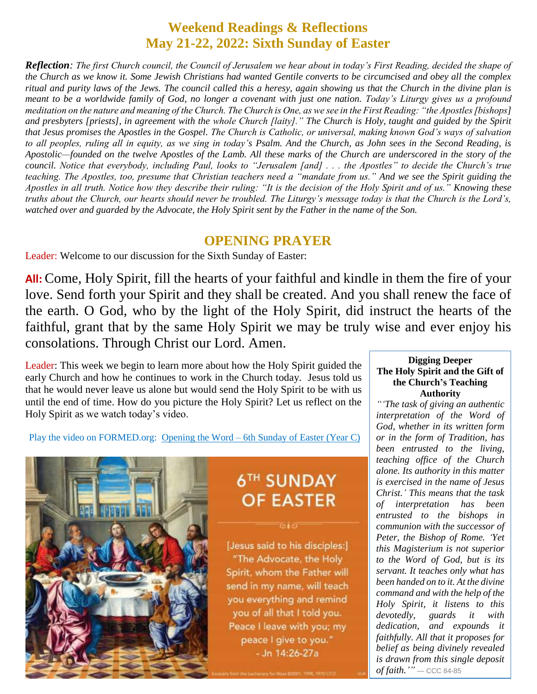# **Weekend Readings & Reflections May 21-22, 2022: Sixth Sunday of Easter**

*Reflection: The first Church council, the Council of Jerusalem we hear about in today's First Reading, decided the shape of the Church as we know it. Some Jewish Christians had wanted Gentile converts to be circumcised and obey all the complex ritual and purity laws of the Jews. The council called this a heresy, again showing us that the Church in the divine plan is meant to be a worldwide family of God, no longer a covenant with just one nation. Today's Liturgy gives us a profound meditation on the nature and meaning of the Church. The Church is One, as we see in the First Reading: "the Apostles [bishops] and presbyters [priests], in agreement with the whole Church [laity]." The Church is Holy, taught and guided by the Spirit that Jesus promises the Apostles in the Gospel. The Church is Catholic, or universal, making known God's ways of salvation to all peoples, ruling all in equity, as we sing in today's Psalm. And the Church, as John sees in the Second Reading, is Apostolic—founded on the twelve Apostles of the Lamb. All these marks of the Church are underscored in the story of the council. Notice that everybody, including Paul, looks to "Jerusalem [and] . . . the Apostles" to decide the Church's true teaching. The Apostles, too, presume that Christian teachers need a "mandate from us." And we see the Spirit guiding the Apostles in all truth. Notice how they describe their ruling: "It is the decision of the Holy Spirit and of us." Knowing these truths about the Church, our hearts should never be troubled. The Liturgy's message today is that the Church is the Lord's, watched over and guarded by the Advocate, the Holy Spirit sent by the Father in the name of the Son.*

#### **OPENING PRAYER**

Leader: Welcome to our discussion for the Sixth Sunday of Easter:

**All:** Come, Holy Spirit, fill the hearts of your faithful and kindle in them the fire of your love. Send forth your Spirit and they shall be created. And you shall renew the face of the earth. O God, who by the light of the Holy Spirit, did instruct the hearts of the faithful, grant that by the same Holy Spirit we may be truly wise and ever enjoy his consolations. Through Christ our Lord. Amen.

Leader: This week we begin to learn more about how the Holy Spirit guided the early Church and how he continues to work in the Church today. Jesus told us that he would never leave us alone but would send the Holy Spirit to be with us until the end of time. How do you picture the Holy Spirit? Let us reflect on the Holy Spirit as we watch today's video.

Play the video on FORMED.org: Opening the Word – 6th [Sunday of Easter \(Year C\)](https://watch.formed.org/opening-the-word-1/season:3/videos/6th-sunday-of-easter-may-26-2019)



# **6TH SUNDAY OF EASTER**

[Jesus said to his disciples:] "The Advocate, the Holy Spirit, whom the Father will send in my name, will teach you everything and remind you of all that I told you. Peace I leave with you; my peace I give to you." - Jn 14:26-27a

#### **Digging Deeper The Holy Spirit and the Gift of the Church's Teaching Authority**

*"'The task of giving an authentic interpretation of the Word of God, whether in its written form or in the form of Tradition, has been entrusted to the living, teaching office of the Church alone. Its authority in this matter is exercised in the name of Jesus Christ.' This means that the task of interpretation has been entrusted to the bishops in communion with the successor of Peter, the Bishop of Rome. 'Yet this Magisterium is not superior to the Word of God, but is its servant. It teaches only what has been handed on to it. At the divine command and with the help of the Holy Spirit, it listens to this devotedly, guards it with dedication, and expounds it faithfully. All that it proposes for belief as being divinely revealed is drawn from this single deposit of faith.'"* — CCC 84-85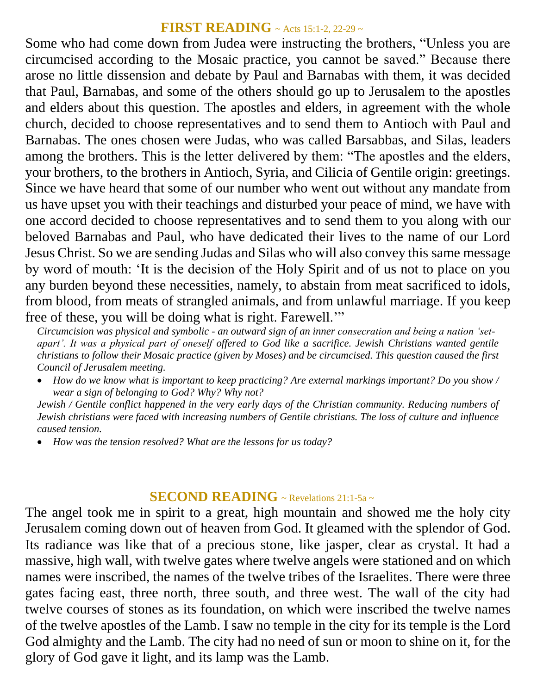### **FIRST READING** ~ Acts 15:1-2, 22-29 <sup>~</sup>

Some who had come down from Judea were instructing the brothers, "Unless you are circumcised according to the Mosaic practice, you cannot be saved." Because there arose no little dissension and debate by Paul and Barnabas with them, it was decided that Paul, Barnabas, and some of the others should go up to Jerusalem to the apostles and elders about this question. The apostles and elders, in agreement with the whole church, decided to choose representatives and to send them to Antioch with Paul and Barnabas. The ones chosen were Judas, who was called Barsabbas, and Silas, leaders among the brothers. This is the letter delivered by them: "The apostles and the elders, your brothers, to the brothers in Antioch, Syria, and Cilicia of Gentile origin: greetings. Since we have heard that some of our number who went out without any mandate from us have upset you with their teachings and disturbed your peace of mind, we have with one accord decided to choose representatives and to send them to you along with our beloved Barnabas and Paul, who have dedicated their lives to the name of our Lord Jesus Christ. So we are sending Judas and Silas who will also convey this same message by word of mouth: 'It is the decision of the Holy Spirit and of us not to place on you any burden beyond these necessities, namely, to abstain from meat sacrificed to idols, from blood, from meats of strangled animals, and from unlawful marriage. If you keep free of these, you will be doing what is right. Farewell.'"

*Circumcision was physical and symbolic - an outward sign of an inner consecration and being a nation ʻsetapart'. It was a physical part of oneself offered to God like a sacrifice. Jewish Christians wanted gentile christians to follow their Mosaic practice (given by Moses) and be circumcised. This question caused the first Council of Jerusalem meeting.* 

 *How do we know what is important to keep practicing? Are external markings important? Do you show / wear a sign of belonging to God? Why? Why not?*

*Jewish / Gentile conflict happened in the very early days of the Christian community. Reducing numbers of Jewish christians were faced with increasing numbers of Gentile christians. The loss of culture and influence caused tension.* 

*How was the tension resolved? What are the lessons for us today?*

#### **SECOND READING** ~ Revelations 21:1-5a ~

The angel took me in spirit to a great, high mountain and showed me the holy city Jerusalem coming down out of heaven from God. It gleamed with the splendor of God. Its radiance was like that of a precious stone, like jasper, clear as crystal. It had a massive, high wall, with twelve gates where twelve angels were stationed and on which names were inscribed, the names of the twelve tribes of the Israelites. There were three gates facing east, three north, three south, and three west. The wall of the city had twelve courses of stones as its foundation, on which were inscribed the twelve names of the twelve apostles of the Lamb. I saw no temple in the city for its temple is the Lord God almighty and the Lamb. The city had no need of sun or moon to shine on it, for the glory of God gave it light, and its lamp was the Lamb.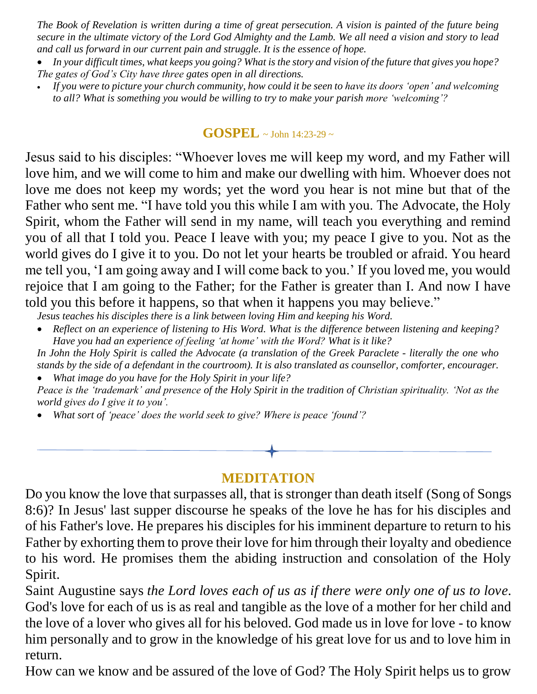*The Book of Revelation is written during a time of great persecution. A vision is painted of the future being secure in the ultimate victory of the Lord God Almighty and the Lamb. We all need a vision and story to lead and call us forward in our current pain and struggle. It is the essence of hope.* 

- *In your difficult times, what keeps you going? What is the story and vision of the future that gives you hope? The gates of God's City have three gates open in all directions.*
- *If you were to picture your church community, how could it be seen to have its doors ʻopen' and welcoming to all? What is something you would be willing to try to make your parish more ʻwelcoming'?*

## **GOSPEL** ~ John 14:23-29 <sup>~</sup>

Jesus said to his disciples: "Whoever loves me will keep my word, and my Father will love him, and we will come to him and make our dwelling with him. Whoever does not love me does not keep my words; yet the word you hear is not mine but that of the Father who sent me. "I have told you this while I am with you. The Advocate, the Holy Spirit, whom the Father will send in my name, will teach you everything and remind you of all that I told you. Peace I leave with you; my peace I give to you. Not as the world gives do I give it to you. Do not let your hearts be troubled or afraid. You heard me tell you, 'I am going away and I will come back to you.' If you loved me, you would rejoice that I am going to the Father; for the Father is greater than I. And now I have told you this before it happens, so that when it happens you may believe."

*Jesus teaches his disciples there is a link between loving Him and keeping his Word.* 

 *Reflect on an experience of listening to His Word. What is the difference between listening and keeping? Have you had an experience of feeling ʻat home' with the Word? What is it like?*

*In John the Holy Spirit is called the Advocate (a translation of the Greek Paraclete - literally the one who stands by the side of a defendant in the courtroom). It is also translated as counsellor, comforter, encourager.*

*What image do you have for the Holy Spirit in your life?*

*Peace is the ʻtrademark' and presence of the Holy Spirit in the tradition of Christian spirituality. ʻNot as the world gives do I give it to you'.* 

*What sort of ʻpeace' does the world seek to give? Where is peace ʻfound'?*

# **MEDITATION**

Do you know the love that surpasses all, that is stronger than death itself (Song of Songs 8:6)? In Jesus' last supper discourse he speaks of the love he has for his disciples and of his Father's love. He prepares his disciples for his imminent departure to return to his Father by exhorting them to prove their love for him through their loyalty and obedience to his word. He promises them the abiding instruction and consolation of the Holy Spirit.

Saint Augustine says *the Lord loves each of us as if there were only one of us to love*. God's love for each of us is as real and tangible as the love of a mother for her child and the love of a lover who gives all for his beloved. God made us in love for love - to know him personally and to grow in the knowledge of his great love for us and to love him in return.

How can we know and be assured of the love of God? The Holy Spirit helps us to grow